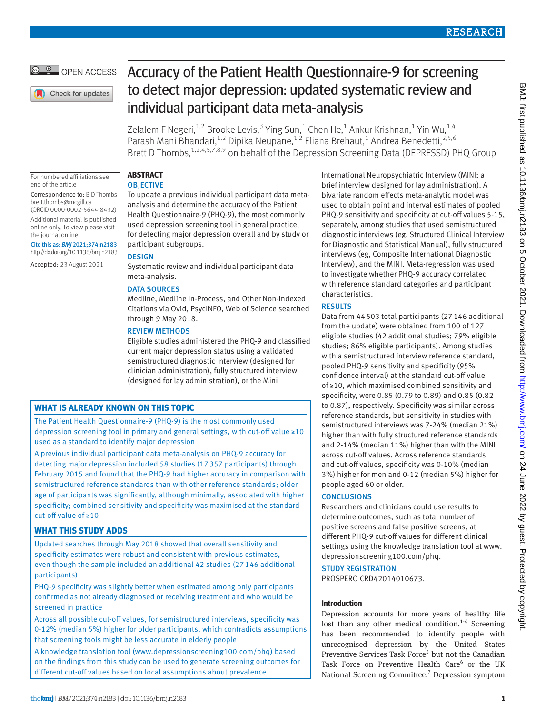## **RESEARCH**

## OPEN ACCESS

Check for updates

# Accuracy of the Patient Health Questionnaire-9 for screening to detect major depression: updated systematic review and individual participant data meta-analysis

Zelalem F Negeri, $^{1,2}$  Brooke Levis, $^3$  Ying Sun, $^1$  Chen He, $^1$  Ankur Krishnan, $^1$  Yin Wu, $^{1,4}$ Parash Mani Bhandari,<sup>1,2</sup> Dipika Neupane,<sup>1,2</sup> Eliana Brehaut,<sup>1</sup> Andrea Benedetti,<sup>2,5,6</sup> Brett D Thombs,<sup>1,2,4,5,7,8,9</sup> on behalf of the Depression Screening Data (DEPRESSD) PHQ Group

For numbered affiliations see end of the article

Correspondence to: B D Thombs [brett.thombs@mcgill.ca](mailto:brett.thombs@mcgill.ca) (ORCID [0000-0002-5644-8432](https://orcid.org/0000-0002-5644-8432)) Additional material is published online only. To view please visit the journal online.

Cite this as: *BMJ* 2021;374:n2183 http://dx.doi.org/10.1136/bmj.n2183

Accepted: 23 August 2021

## **ABSTRACT**

**OBIECTIVE** To update a previous individual participant data meta-

analysis and determine the accuracy of the Patient Health Questionnaire-9 (PHQ-9), the most commonly used depression screening tool in general practice, for detecting major depression overall and by study or participant subgroups.

## DESIGN

Systematic review and individual participant data meta-analysis.

## DATA SOURCES

Medline, Medline In-Process, and Other Non-Indexed Citations via Ovid, PsycINFO, Web of Science searched through 9 May 2018.

## REVIEW METHODS

Eligible studies administered the PHQ-9 and classified current major depression status using a validated semistructured diagnostic interview (designed for clinician administration), fully structured interview (designed for lay administration), or the Mini

## **WHAT IS ALREADY KNOWN ON THIS TOPIC**

The Patient Health Questionnaire-9 (PHQ-9) is the most commonly used depression screening tool in primary and general settings, with cut-off value ≥10 used as a standard to identify major depression

A previous individual participant data meta-analysis on PHQ-9 accuracy for detecting major depression included 58 studies (17 357 participants) through February 2015 and found that the PHQ-9 had higher accuracy in comparison with semistructured reference standards than with other reference standards; older age of participants was significantly, although minimally, associated with higher specificity; combined sensitivity and specificity was maximised at the standard cut-off value of ≥10

## **WHAT THIS STUDY ADDS**

Updated searches through May 2018 showed that overall sensitivity and specificity estimates were robust and consistent with previous estimates, even though the sample included an additional 42 studies (27 146 additional participants)

PHQ-9 specificity was slightly better when estimated among only participants confirmed as not already diagnosed or receiving treatment and who would be screened in practice

Across all possible cut-off values, for semistructured interviews, specificity was 0-12% (median 5%) higher for older participants, which contradicts assumptions that screening tools might be less accurate in elderly people

A knowledge translation tool (www.depressionscreening100.com/phq) based on the findings from this study can be used to generate screening outcomes for different cut-off values based on local assumptions about prevalence

International Neuropsychiatric Interview (MINI; a brief interview designed for lay administration). A bivariate random effects meta-analytic model was used to obtain point and interval estimates of pooled PHQ-9 sensitivity and specificity at cut-off values 5-15, separately, among studies that used semistructured diagnostic interviews (eg, Structured Clinical Interview for Diagnostic and Statistical Manual), fully structured interviews (eg, Composite International Diagnostic Interview), and the MINI. Meta-regression was used to investigate whether PHQ-9 accuracy correlated with reference standard categories and participant characteristics.

## RESULTS

Data from 44503 total participants (27146 additional from the update) were obtained from 100 of 127 eligible studies (42 additional studies; 79% eligible studies; 86% eligible participants). Among studies with a semistructured interview reference standard, pooled PHQ-9 sensitivity and specificity (95% confidence interval) at the standard cut-off value of ≥10, which maximised combined sensitivity and specificity, were 0.85 (0.79 to 0.89) and 0.85 (0.82 to 0.87), respectively. Specificity was similar across reference standards, but sensitivity in studies with semistructured interviews was 7-24% (median 21%) higher than with fully structured reference standards and 2-14% (median 11%) higher than with the MINI across cut-off values. Across reference standards and cut-off values, specificity was 0-10% (median 3%) higher for men and 0-12 (median 5%) higher for people aged 60 or older.

## **CONCLUSIONS**

Researchers and clinicians could use results to determine outcomes, such as total number of positive screens and false positive screens, at different PHQ-9 cut-off values for different clinical settings using the knowledge translation tool at [www.](http://www.depressionscreening100.com/phq) [depressionscreening100.com/phq.](http://www.depressionscreening100.com/phq)

## STUDY REGISTRATION

PROSPERO CRD42014010673.

## **Introduction**

Depression accounts for more years of healthy life lost than any other medical condition.<sup>1-4</sup> Screening has been recommended to identify people with unrecognised depression by the United States Preventive Services Task Force<sup>5</sup> but not the Canadian Task Force on Preventive Health Care<sup>6</sup> or the UK National Screening Committee.<sup>7</sup> Depression symptom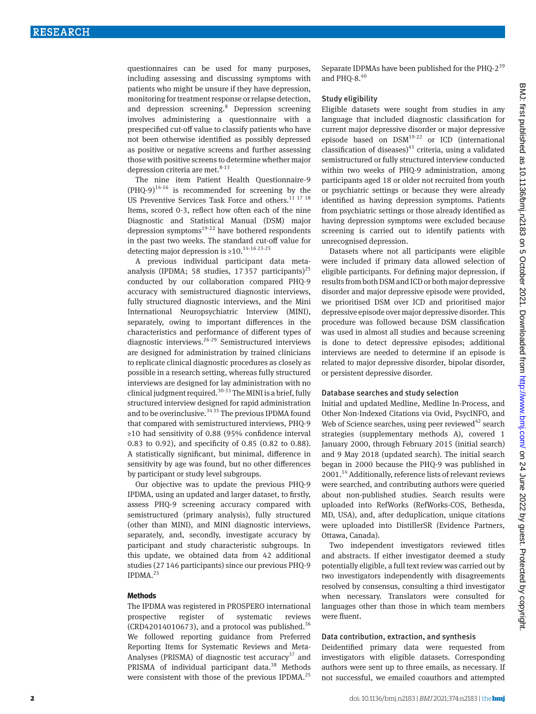questionnaires can be used for many purposes, including assessing and discussing symptoms with patients who might be unsure if they have depression, monitoring for treatment response or relapse detection, and depression screening.<sup>8</sup> Depression screening involves administering a questionnaire with a prespecified cut-off value to classify patients who have not been otherwise identified as possibly depressed as positive or negative screens and further assessing those with positive screens to determine whether major depression criteria are met. $8-13$ 

The nine item Patient Health Questionnaire-9  $(PHO-9)^{14\cdot16}$  is recommended for screening by the US Preventive Services Task Force and others.<sup>11 17 18</sup> Items, scored 0-3, reflect how often each of the nine Diagnostic and Statistical Manual (DSM) major depression symptoms $19-22$  have bothered respondents in the past two weeks. The standard cut-off value for detecting major depression is  $\geq 10$ .<sup>14-16 23-25</sup>

A previous individual participant data metaanalysis (IPDMA; 58 studies, 17357 participants)<sup>25</sup> conducted by our collaboration compared PHQ-9 accuracy with semistructured diagnostic interviews, fully structured diagnostic interviews, and the Mini International Neuropsychiatric Interview (MINI), separately, owing to important differences in the characteristics and performance of different types of diagnostic interviews.<sup>26-29</sup> Semistructured interviews are designed for administration by trained clinicians to replicate clinical diagnostic procedures as closely as possible in a research setting, whereas fully structured interviews are designed for lay administration with no clinical judgment required.<sup>30-33</sup> The MINI is a brief, fully structured interview designed for rapid administration and to be overinclusive.  $3435$  The previous IPDMA found that compared with semistructured interviews, PHQ-9 ≥10 had sensitivity of 0.88 (95% confidence interval 0.83 to 0.92), and specificity of 0.85 (0.82 to 0.88). A statistically significant, but minimal, difference in sensitivity by age was found, but no other differences by participant or study level subgroups.

Our objective was to update the previous PHQ-9 IPDMA, using an updated and larger dataset, to firstly, assess PHQ-9 screening accuracy compared with semistructured (primary analysis), fully structured (other than MINI), and MINI diagnostic interviews, separately, and, secondly, investigate accuracy by participant and study characteristic subgroups. In this update, we obtained data from 42 additional studies (27146 participants) since our previous PHQ-9  $IPDMA.<sup>25</sup>$ 

#### **Methods**

The IPDMA was registered in PROSPERO international prospective register of systematic reviews (CRD42014010673), and a protocol was published.<sup>36</sup> We followed reporting guidance from Preferred Reporting Items for Systematic Reviews and Meta-Analyses (PRISMA) of diagnostic test accuracy<sup>37</sup> and PRISMA of individual participant data.<sup>38</sup> Methods were consistent with those of the previous IPDMA.<sup>25</sup>

Separate IDPMAs have been published for the PHQ-2<sup>39</sup> and PHO-8. $40$ 

#### Study eligibility

Eligible datasets were sought from studies in any language that included diagnostic classification for current major depressive disorder or major depressive episode based on DSM19-22 or ICD (international classification of diseases) $41$  criteria, using a validated semistructured or fully structured interview conducted within two weeks of PHQ-9 administration, among participants aged 18 or older not recruited from youth or psychiatric settings or because they were already identified as having depression symptoms. Patients from psychiatric settings or those already identified as having depression symptoms were excluded because screening is carried out to identify patients with unrecognised depression.

Datasets where not all participants were eligible were included if primary data allowed selection of eligible participants. For defining major depression, if results from both DSM and ICD or both major depressive disorder and major depressive episode were provided, we prioritised DSM over ICD and prioritised major depressive episode over major depressive disorder. This procedure was followed because DSM classification was used in almost all studies and because screening is done to detect depressive episodes; additional interviews are needed to determine if an episode is related to major depressive disorder, bipolar disorder, or persistent depressive disorder.

#### Database searches and study selection

Initial and updated Medline, Medline In-Process, and Other Non-Indexed Citations via Ovid, PsycINFO, and Web of Science searches, using peer reviewed $42$  search strategies (supplementary methods A), covered 1 January 2000, through February 2015 (initial search) and 9 May 2018 (updated search). The initial search began in 2000 because the PHQ-9 was published in 2001.<sup>14</sup> Additionally, reference lists of relevant reviews were searched, and contributing authors were queried about non-published studies. Search results were uploaded into RefWorks (RefWorks-COS, Bethesda, MD, USA), and, after deduplication, unique citations were uploaded into DistillerSR (Evidence Partners, Ottawa, Canada).

Two independent investigators reviewed titles and abstracts. If either investigator deemed a study potentially eligible, a full text review was carried out by two investigators independently with disagreements resolved by consensus, consulting a third investigator when necessary. Translators were consulted for languages other than those in which team members were fluent.

#### Data contribution, extraction, and synthesis

Deidentified primary data were requested from investigators with eligible datasets. Corresponding authors were sent up to three emails, as necessary. If not successful, we emailed coauthors and attempted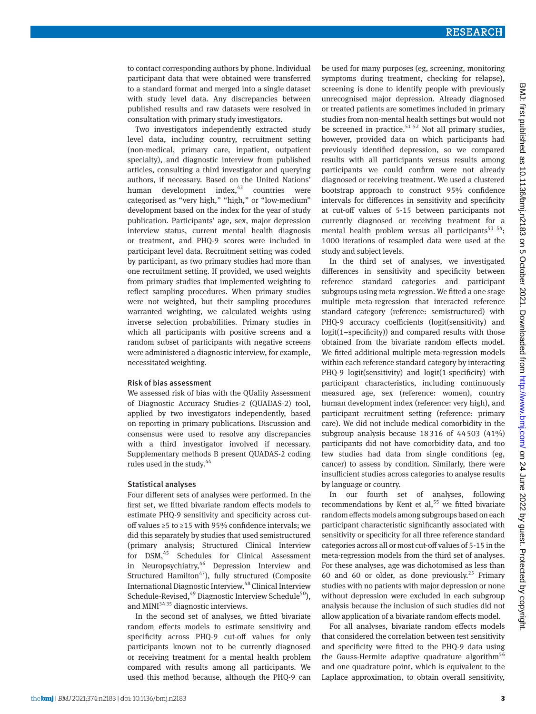to contact corresponding authors by phone. Individual participant data that were obtained were transferred to a standard format and merged into a single dataset with study level data. Any discrepancies between published results and raw datasets were resolved in consultation with primary study investigators.

Two investigators independently extracted study level data, including country, recruitment setting (non-medical, primary care, inpatient, outpatient specialty), and diagnostic interview from published articles, consulting a third investigator and querying authors, if necessary. Based on the United Nations' human development index, $43$  countries were categorised as "very high," "high," or "low-medium" development based on the index for the year of study publication. Participants' age, sex, major depression interview status, current mental health diagnosis or treatment, and PHQ-9 scores were included in participant level data. Recruitment setting was coded by participant, as two primary studies had more than one recruitment setting. If provided, we used weights from primary studies that implemented weighting to reflect sampling procedures. When primary studies were not weighted, but their sampling procedures warranted weighting, we calculated weights using inverse selection probabilities. Primary studies in which all participants with positive screens and a random subset of participants with negative screens were administered a diagnostic interview, for example, necessitated weighting.

#### Risk of bias assessment

We assessed risk of bias with the QUality Assessment of Diagnostic Accuracy Studies-2 (QUADAS-2) tool, applied by two investigators independently, based on reporting in primary publications. Discussion and consensus were used to resolve any discrepancies with a third investigator involved if necessary. Supplementary methods B present QUADAS-2 coding rules used in the study. $44$ 

#### Statistical analyses

Four different sets of analyses were performed. In the first set, we fitted bivariate random effects models to estimate PHQ-9 sensitivity and specificity across cutoff values ≥5 to ≥15 with 95% confidence intervals; we did this separately by studies that used semistructured (primary analysis; Structured Clinical Interview for DSM,<sup>45</sup> Schedules for Clinical Assessment in Neuropsychiatry, <sup>46</sup> Depression Interview and Structured Hamilton<sup>47</sup>), fully structured (Composite International Diagnostic Interview,<sup>48</sup> Clinical Interview Schedule-Revised, $49$  Diagnostic Interview Schedule<sup>50</sup>), and  $MINI<sup>34,35</sup>$  diagnostic interviews.

In the second set of analyses, we fitted bivariate random effects models to estimate sensitivity and specificity across PHQ-9 cut-off values for only participants known not to be currently diagnosed or receiving treatment for a mental health problem compared with results among all participants. We used this method because, although the PHQ-9 can be used for many purposes (eg, screening, monitoring symptoms during treatment, checking for relapse), screening is done to identify people with previously unrecognised major depression. Already diagnosed or treated patients are sometimes included in primary studies from non-mental health settings but would not be screened in practice.<sup>51 52</sup> Not all primary studies, however, provided data on which participants had previously identified depression, so we compared results with all participants versus results among participants we could confirm were not already diagnosed or receiving treatment. We used a clustered bootstrap approach to construct 95% confidence intervals for differences in sensitivity and specificity at cut-off values of 5-15 between participants not currently diagnosed or receiving treatment for a mental health problem versus all participants<sup>53 54</sup>; 1000 iterations of resampled data were used at the study and subject levels.

In the third set of analyses, we investigated differences in sensitivity and specificity between reference standard categories and participant subgroups using meta-regression. We fitted a one stage multiple meta-regression that interacted reference standard category (reference: semistructured) with PHQ-9 accuracy coefficients (logit(sensitivity) and logit(1−specificity)) and compared results with those obtained from the bivariate random effects model. We fitted additional multiple meta-regression models within each reference standard category by interacting PHQ-9 logit(sensitivity) and logit(1-specificity) with participant characteristics, including continuously measured age, sex (reference: women), country human development index (reference: very high), and participant recruitment setting (reference: primary care). We did not include medical comorbidity in the subgroup analysis because 18316 of 44503 (41%) participants did not have comorbidity data, and too few studies had data from single conditions (eg, cancer) to assess by condition. Similarly, there were insufficient studies across categories to analyse results by language or country.

In our fourth set of analyses, following recommendations by Kent et al,<sup>55</sup> we fitted bivariate random effects models among subgroups based on each participant characteristic significantly associated with sensitivity or specificity for all three reference standard categories across all or most cut-off values of 5-15 in the meta-regression models from the third set of analyses. For these analyses, age was dichotomised as less than 60 and 60 or older, as done previously.<sup>25</sup> Primary studies with no patients with major depression or none without depression were excluded in each subgroup analysis because the inclusion of such studies did not allow application of a bivariate random effects model.

For all analyses, bivariate random effects models that considered the correlation between test sensitivity and specificity were fitted to the PHQ-9 data using the Gauss-Hermite adaptive quadrature algorithm<sup>56</sup> and one quadrature point, which is equivalent to the Laplace approximation, to obtain overall sensitivity,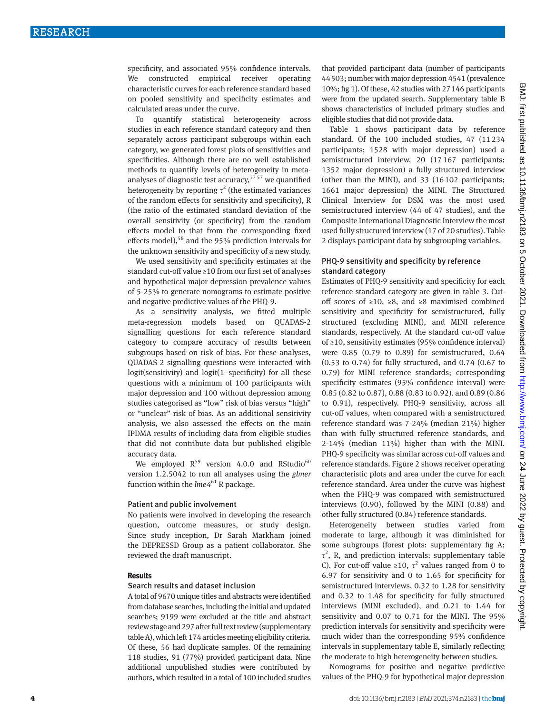specificity, and associated 95% confidence intervals. We constructed empirical receiver operating characteristic curves for each reference standard based on pooled sensitivity and specificity estimates and calculated areas under the curve.

To quantify statistical heterogeneity across studies in each reference standard category and then separately across participant subgroups within each category, we generated forest plots of sensitivities and specificities. Although there are no well established methods to quantify levels of heterogeneity in metaanalyses of diagnostic test accuracy,  $37\,57$  we quantified heterogeneity by reporting  $\tau^2$  (the estimated variances of the random effects for sensitivity and specificity), R (the ratio of the estimated standard deviation of the overall sensitivity (or specificity) from the random effects model to that from the corresponding fixed effects model),<sup>58</sup> and the 95% prediction intervals for the unknown sensitivity and specificity of a new study.

We used sensitivity and specificity estimates at the standard cut-off value ≥10 from our first set of analyses and hypothetical major depression prevalence values of 5-25% to generate nomograms to estimate positive and negative predictive values of the PHQ-9.

As a sensitivity analysis, we fitted multiple meta-regression models based on QUADAS-2 signalling questions for each reference standard category to compare accuracy of results between subgroups based on risk of bias. For these analyses, QUADAS-2 signalling questions were interacted with logit(sensitivity) and logit(1−specificity) for all these questions with a minimum of 100 participants with major depression and 100 without depression among studies categorised as "low" risk of bias versus "high" or "unclear" risk of bias. As an additional sensitivity analysis, we also assessed the effects on the main IPDMA results of including data from eligible studies that did not contribute data but published eligible accuracy data.

We employed  $R^{59}$  version 4.0.0 and RStudio<sup>60</sup> version 1.2.5042 to run all analyses using the *glmer* function within the *lme*4<sup>61</sup> R package.

#### Patient and public involvement

No patients were involved in developing the research question, outcome measures, or study design. Since study inception, Dr Sarah Markham joined the DEPRESSD Group as a patient collaborator. She reviewed the draft manuscript.

#### **Results**

#### Search results and dataset inclusion

A total of 9670 unique titles and abstracts were identified from database searches, including the initial and updated searches; 9199 were excluded at the title and abstract review stage and 297 after full text review (supplementary table A), which left 174 articles meeting eligibility criteria. Of these, 56 had duplicate samples. Of the remaining 118 studies, 91 (77%) provided participant data. Nine additional unpublished studies were contributed by authors, which resulted in a total of 100 included studies that provided participant data (number of participants 44503; number with major depression 4541 (prevalence 10%; fig 1). Of these, 42 studies with 27146 participants were from the updated search. Supplementary table B shows characteristics of included primary studies and eligible studies that did not provide data.

Table 1 shows participant data by reference standard. Of the 100 included studies, 47 (11234 participants; 1528 with major depression) used a semistructured interview, 20 (17167 participants; 1352 major depression) a fully structured interview (other than the MINI), and 33 (16102 participants; 1661 major depression) the MINI. The Structured Clinical Interview for DSM was the most used semistructured interview (44 of 47 studies), and the Composite International Diagnostic Interview the most used fully structured interview (17 of 20 studies). Table 2 displays participant data by subgrouping variables.

#### PHQ-9 sensitivity and specificity by reference standard category

Estimates of PHQ-9 sensitivity and specificity for each reference standard category are given in table 3. Cutoff scores of ≥10, ≥8, and ≥8 maximised combined sensitivity and specificity for semistructured, fully structured (excluding MINI), and MINI reference standards, respectively. At the standard cut-off value of ≥10, sensitivity estimates (95% confidence interval) were 0.85 (0.79 to 0.89) for semistructured, 0.64 (0.53 to 0.74) for fully structured, and 0.74 (0.67 to 0.79) for MINI reference standards; corresponding specificity estimates (95% confidence interval) were 0.85 (0.82 to 0.87), 0.88 (0.83 to 0.92). and 0.89 (0.86 to 0.91), respectively. PHQ-9 sensitivity, across all cut-off values, when compared with a semistructured reference standard was 7-24% (median 21%) higher than with fully structured reference standards, and 2-14% (median 11%) higher than with the MINI. PHQ-9 specificity was similar across cut-off values and reference standards. Figure 2 shows receiver operating characteristic plots and area under the curve for each reference standard. Area under the curve was highest when the PHQ-9 was compared with semistructured interviews (0.90), followed by the MINI (0.88) and other fully structured (0.84) reference standards.

Heterogeneity between studies varied from moderate to large, although it was diminished for some subgroups (forest plots: supplementary fig A;  $\tau^2$ , R, and prediction intervals: supplementary table C). For cut-off value ≥10,  $\tau^2$  values ranged from 0 to 6.97 for sensitivity and 0 to 1.65 for specificity for semistructured interviews, 0.32 to 1.28 for sensitivity and 0.32 to 1.48 for specificity for fully structured interviews (MINI excluded), and 0.21 to 1.44 for sensitivity and 0.07 to 0.71 for the MINI. The 95% prediction intervals for sensitivity and specificity were much wider than the corresponding 95% confidence intervals in supplementary table E, similarly reflecting the moderate to high heterogeneity between studies.

Nomograms for positive and negative predictive values of the PHQ-9 for hypothetical major depression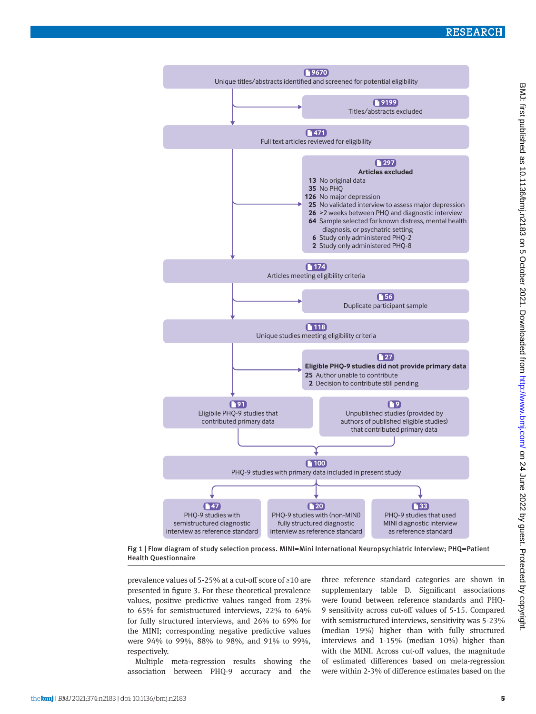

Fig 1 | Flow diagram of study selection process. MINI=Mini International Neuropsychiatric Interview; PHQ=Patient Health Questionnaire

prevalence values of 5-25% at a cut-off score of ≥10 are presented in figure 3. For these theoretical prevalence values, positive predictive values ranged from 23% to 65% for semistructured interviews, 22% to 64% for fully structured interviews, and 26% to 69% for the MINI; corresponding negative predictive values were 94% to 99%, 88% to 98%, and 91% to 99%, respectively.

Multiple meta-regression results showing the association between PHQ-9 accuracy and the three reference standard categories are shown in supplementary table D. Significant associations were found between reference standards and PHQ-9 sensitivity across cut-off values of 5-15. Compared with semistructured interviews, sensitivity was 5-23% (median 19%) higher than with fully structured interviews and 1-15% (median 10%) higher than with the MINI. Across cut-off values, the magnitude of estimated differences based on meta-regression were within 2-3% of difference estimates based on the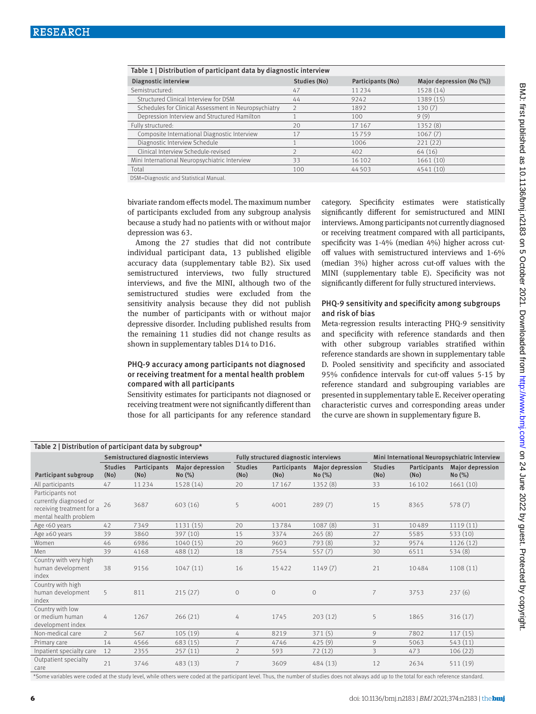| Table 1   Distribution of participant data by diagnostic interview |              |                   |                           |  |  |  |  |
|--------------------------------------------------------------------|--------------|-------------------|---------------------------|--|--|--|--|
| Diagnostic interview                                               | Studies (No) | Participants (No) | Major depression (No (%)) |  |  |  |  |
| Semistructured:                                                    | 47           | 11234             | 1528 (14)                 |  |  |  |  |
| Structured Clinical Interview for DSM                              | 44           | 9242              | 1389 (15)                 |  |  |  |  |
| Schedules for Clinical Assessment in Neuropsychiatry               |              | 1892              | 130(7)                    |  |  |  |  |
| Depression Interview and Structured Hamilton                       |              | 100               | 9(9)                      |  |  |  |  |
| Fully structured:                                                  | 20           | 17167             | 1352 (8)                  |  |  |  |  |
| Composite International Diagnostic Interview                       | 17           | 15759             | 1067(7)                   |  |  |  |  |
| Diagnostic Interview Schedule                                      |              | 1006              | 221(22)                   |  |  |  |  |
| Clinical Interview Schedule-revised                                |              | 402               | 64 (16)                   |  |  |  |  |
| Mini International Neuropsychiatric Interview                      | 33           | 16102             | 1661(10)                  |  |  |  |  |
| Total                                                              | 100          | 44503             | 4541 (10)                 |  |  |  |  |
|                                                                    |              |                   |                           |  |  |  |  |

DSM=Diagnostic and Statistical Manual.

bivariate random effects model. The maximum number of participants excluded from any subgroup analysis because a study had no patients with or without major depression was 63.

Among the 27 studies that did not contribute individual participant data, 13 published eligible accuracy data (supplementary table B2). Six used semistructured interviews, two fully structured interviews, and five the MINI, although two of the semistructured studies were excluded from the sensitivity analysis because they did not publish the number of participants with or without major depressive disorder. Including published results from the remaining 11 studies did not change results as shown in supplementary tables D14 to D16.

#### PHQ-9 accuracy among participants not diagnosed or receiving treatment for a mental health problem compared with all participants

Sensitivity estimates for participants not diagnosed or receiving treatment were not significantly different than those for all participants for any reference standard category. Specificity estimates were statistically significantly different for semistructured and MINI interviews. Among participants not currently diagnosed or receiving treatment compared with all participants, specificity was 1-4% (median 4%) higher across cutoff values with semistructured interviews and 1-6% (median 3%) higher across cut-off values with the MINI (supplementary table E). Specificity was not significantly different for fully structured interviews.

### PHQ-9 sensitivity and specificity among subgroups and risk of bias

Meta-regression results interacting PHQ-9 sensitivity and specificity with reference standards and then with other subgroup variables stratified within reference standards are shown in supplementary table D. Pooled sensitivity and specificity and associated 95% confidence intervals for cut-off values 5-15 by reference standard and subgrouping variables are presented in supplementary table E. Receiver operating characteristic curves and corresponding areas under the curve are shown in supplementary figure B.

| Table 2   Distribution of participant data by subgroup*                                          |                                      |                                          |                           |                                        |                      |                                  |                                               |                      |                           |
|--------------------------------------------------------------------------------------------------|--------------------------------------|------------------------------------------|---------------------------|----------------------------------------|----------------------|----------------------------------|-----------------------------------------------|----------------------|---------------------------|
|                                                                                                  | Semistructured diagnostic interviews |                                          |                           | Fully structured diagnostic interviews |                      |                                  | Mini International Neuropsychiatric Interview |                      |                           |
| Participant subgroup                                                                             | <b>Studies</b><br>(N <sub>o</sub> )  | <b>Participants</b><br>(N <sub>o</sub> ) | Major depression<br>No(%) | <b>Studies</b><br>(No)                 | Participants<br>(No) | <b>Major depression</b><br>No(%) | <b>Studies</b><br>(No)                        | Participants<br>(No) | Major depression<br>No(%) |
| All participants                                                                                 | 47                                   | 11234                                    | 1528 (14)                 | 20                                     | 17167                | 1352(8)                          | 33                                            | 16102                | 1661(10)                  |
| Participants not<br>currently diagnosed or<br>receiving treatment for a<br>mental health problem | 26                                   | 3687                                     | 603(16)                   | 5                                      | 4001                 | 289(7)                           | 15                                            | 8365                 | 578(7)                    |
| Age <60 years                                                                                    | 42                                   | 7349                                     | 1131 (15)                 | 20                                     | 13784                | 1087(8)                          | 31                                            | 10489                | 1119(11)                  |
| Age $\geq 60$ years                                                                              | 39                                   | 3860                                     | 397 (10)                  | 15                                     | 3374                 | 265(8)                           | 27                                            | 5585                 | 533(10)                   |
| Women                                                                                            | 46                                   | 6986                                     | 1040(15)                  | 20                                     | 9603                 | 793 (8)                          | 32                                            | 9574                 | 1126(12)                  |
| Men                                                                                              | 39                                   | 4168                                     | 488 (12)                  | 18                                     | 7554                 | 557(7)                           | 30                                            | 6511                 | 534(8)                    |
| Country with very high<br>human development<br>index                                             | 38                                   | 9156                                     | 1047(11)                  | 16                                     | 15422                | 1149(7)                          | 21                                            | 10484                | 1108(11)                  |
| Country with high<br>human development<br>index                                                  | 5                                    | 811                                      | 215(27)                   | $\circ$                                | $\mathbf{0}$         | $\Omega$                         | 7                                             | 3753                 | 237(6)                    |
| Country with low<br>or medium human<br>development index                                         | 4                                    | 1267                                     | 266(21)                   | 4                                      | 1745                 | 203(12)                          | 5                                             | 1865                 | 316(17)                   |
| Non-medical care                                                                                 | 2                                    | 567                                      | 105(19)                   | 4                                      | 8219                 | 371(5)                           | 9                                             | 7802                 | 117(15)                   |
| Primary care                                                                                     | 14                                   | 4566                                     | 683 (15)                  | 7                                      | 4746                 | 425(9)                           | 9                                             | 5063                 | 543(11)                   |
| Inpatient specialty care                                                                         | 12                                   | 2355                                     | 257(11)                   | $\overline{2}$                         | 593                  | 72(12)                           | 3                                             | 473                  | 106(22)                   |
| Outpatient specialty<br>care                                                                     | 21                                   | 3746                                     | 483(13)                   | $\overline{7}$                         | 3609                 | 484 (13)                         | 12                                            | 2634                 | 511(19)                   |

\*Some variables were coded at the study level, while others were coded at the participant level. Thus, the number of studies does not always add up to the total for each reference standard.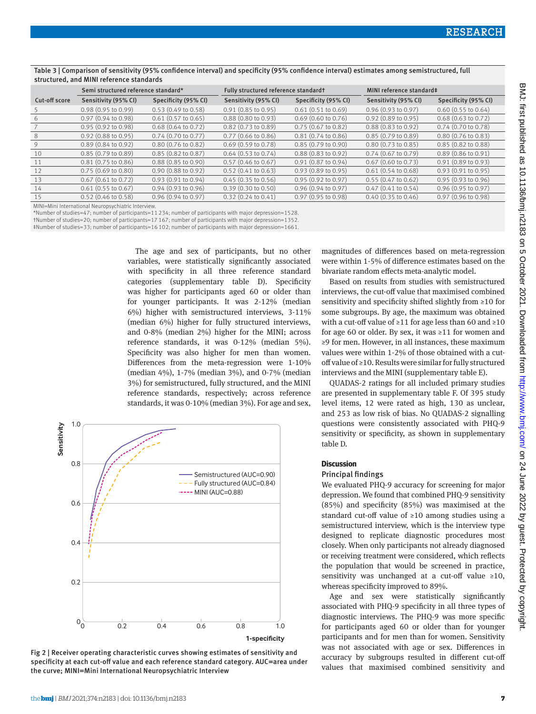|               | Semi structured reference standard* |                               | Fully structured reference standardt |                               | MINI reference standard‡      |                               |
|---------------|-------------------------------------|-------------------------------|--------------------------------------|-------------------------------|-------------------------------|-------------------------------|
| Cut-off score | Sensitivity (95% CI)                | Specificity (95% CI)          | Sensitivity (95% CI)                 | Specificity (95% CI)          | Sensitivity (95% CI)          | Specificity (95% CI)          |
|               | $0.98(0.95 \text{ to } 0.99)$       | $0.53(0.49 \text{ to } 0.58)$ | $0.91(0.85 \text{ to } 0.95)$        | 0.61(0.51 to 0.69)            | 0.96(0.93 to 0.97)            | $0.60$ (0.55 to 0.64)         |
| 6             | $0.97(0.94 \text{ to } 0.98)$       | $0.61$ (0.57 to 0.65)         | $0.88$ (0.80 to 0.93)                | $0.69$ (0.60 to 0.76)         | $0.92$ (0.89 to 0.95)         | $0.68$ $(0.63$ to $0.72)$     |
|               | $0.95(0.92 \text{ to } 0.98)$       | $0.68$ $(0.64$ to $0.72)$     | $0.82$ (0.73 to 0.89)                | $0.75$ (0.67 to 0.82)         | $0.88(0.83 \text{ to } 0.92)$ | $0.74$ (0.70 to 0.78)         |
| 8             | $0.92$ (0.88 to 0.95)               | $0.74$ (0.70 to 0.77)         | $0.77$ (0.66 to 0.86)                | $0.81(0.74 \text{ to } 0.86)$ | $0.85(0.79 \text{ to } 0.89)$ | $0.80$ (0.76 to 0.83)         |
| 9             | $0.89(0.84 \text{ to } 0.92)$       | $0.80(0.76 \text{ to } 0.82)$ | $0.69(0.59 \text{ to } 0.78)$        | $0.85(0.79 \text{ to } 0.90)$ | $0.80(0.73 \text{ to } 0.85)$ | $0.85(0.82 \text{ to } 0.88)$ |
| 10            | $0.85(0.79 \text{ to } 0.89)$       | $0.85(0.82 \text{ to } 0.87)$ | $0.64$ (0.53 to 0.74)                | $0.88(0.83 \text{ to } 0.92)$ | $0.74$ (0.67 to 0.79)         | $0.89$ (0.86 to 0.91)         |
| 11            | $0.81(0.75 \text{ to } 0.86)$       | $0.88(0.85 \text{ to } 0.90)$ | $0.57$ (0.46 to 0.67)                | $0.91(0.87 \text{ to } 0.94)$ | $0.67$ (0.60 to 0.73)         | $0.91(0.89 \text{ to } 0.93)$ |
| 12            | $0.75(0.69 \text{ to } 0.80)$       | $0.90(0.88 \text{ to } 0.92)$ | $0.52(0.41 \text{ to } 0.63)$        | 0.93(0.89 to 0.95)            | $0.61(0.54 \text{ to } 0.68)$ | 0.93(0.91 to 0.95)            |
| 13            | $0.67$ (0.61 to 0.72)               | 0.93(0.91 to 0.94)            | $0.45(0.35 \text{ to } 0.56)$        | $0.95(0.92 \text{ to } 0.97)$ | $0.55(0.47 \text{ to } 0.62)$ | $0.95(0.93 \text{ to } 0.96)$ |
| 14            | $0.61$ (0.55 to 0.67)               | $0.94(0.93 \text{ to } 0.96)$ | $0.39(0.30 \text{ to } 0.50)$        | $0.96$ $(0.94$ to $0.97)$     | $0.47$ (0.41 to 0.54)         | $0.96$ (0.95 to 0.97)         |
| 15            | $0.52$ (0.46 to 0.58)               | $0.96$ $(0.94$ to $0.97)$     | $0.32(0.24 \text{ to } 0.41)$        | $0.97$ (0.95 to 0.98)         | $0.40$ $(0.35$ to $0.46)$     | $0.97$ (0.96 to 0.98)         |

Table 3 | Comparison of sensitivity (95% confidence interval) and specificity (95% confidence interval) estimates among semistructured, full structured, and MINI reference standards

MINI=Mini International Neuropsychiatric Interview.

†Number of studies=20; number of participants=17 167; number of participants with major depression=1352.

‡Number of studies=33; number of participants=16 102; number of participants with major depression=1661.

The age and sex of participants, but no other variables, were statistically significantly associated with specificity in all three reference standard categories (supplementary table D). Specificity was higher for participants aged 60 or older than for younger participants. It was 2-12% (median 6%) higher with semistructured interviews, 3-11% (median 6%) higher for fully structured interviews, and 0-8% (median 2%) higher for the MINI; across reference standards, it was 0-12% (median 5%). Specificity was also higher for men than women. Differences from the meta-regression were 1-10% (median 4%), 1-7% (median 3%), and 0-7% (median 3%) for semistructured, fully structured, and the MINI reference standards, respectively; across reference standards, it was 0-10% (median 3%). For age and sex,



Fig 2 | Receiver operating characteristic curves showing estimates of sensitivity and specificity at each cut-off value and each reference standard category. AUC=area under the curve; MINI=Mini International Neuropsychiatric Interview

magnitudes of differences based on meta-regression were within 1-5% of difference estimates based on the bivariate random effects meta-analytic model.

Based on results from studies with semistructured interviews, the cut-off value that maximised combined sensitivity and specificity shifted slightly from ≥10 for some subgroups. By age, the maximum was obtained with a cut-off value of ≥11 for age less than 60 and ≥10 for age 60 or older. By sex, it was  $\geq 11$  for women and ≥9 for men. However, in all instances, these maximum values were within 1-2% of those obtained with a cutoff value of ≥10. Results were similar for fully structured interviews and the MINI (supplementary table E).

QUADAS-2 ratings for all included primary studies are presented in supplementary table F. Of 395 study level items, 12 were rated as high, 130 as unclear, and 253 as low risk of bias. No QUADAS-2 signalling questions were consistently associated with PHQ-9 sensitivity or specificity, as shown in supplementary table D.

#### **Discussion**

#### Principal findings

We evaluated PHQ-9 accuracy for screening for major depression. We found that combined PHQ-9 sensitivity (85%) and specificity (85%) was maximised at the standard cut-off value of ≥10 among studies using a semistructured interview, which is the interview type designed to replicate diagnostic procedures most closely. When only participants not already diagnosed or receiving treatment were considered, which reflects the population that would be screened in practice, sensitivity was unchanged at a cut-off value ≥10, whereas specificity improved to 89%.

Age and sex were statistically significantly associated with PHQ-9 specificity in all three types of diagnostic interviews. The PHQ-9 was more specific for participants aged 60 or older than for younger participants and for men than for women. Sensitivity was not associated with age or sex. Differences in accuracy by subgroups resulted in different cut-off values that maximised combined sensitivity and

<sup>\*</sup>Number of studies=47; number of participants=11 234; number of participants with major depression=1528.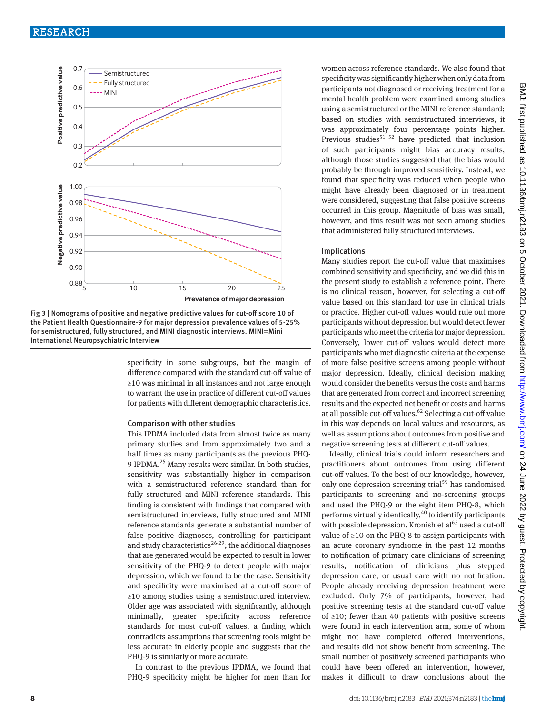## RESEARCH



Fig 3 | Nomograms of positive and negative predictive values for cut-off score 10 of the Patient Health Questionnaire-9 for major depression prevalence values of 5-25% for semistructured, fully structured, and MINI diagnostic interviews. MINI=Mini International Neuropsychiatric Interview

specificity in some subgroups, but the margin of difference compared with the standard cut-off value of ≥10 was minimal in all instances and not large enough to warrant the use in practice of different cut-off values for patients with different demographic characteristics.

#### Comparison with other studies

This IPDMA included data from almost twice as many primary studies and from approximately two and a half times as many participants as the previous PHQ-9 IPDMA.<sup>25</sup> Many results were similar. In both studies, sensitivity was substantially higher in comparison with a semistructured reference standard than for fully structured and MINI reference standards. This finding is consistent with findings that compared with semistructured interviews, fully structured and MINI reference standards generate a substantial number of false positive diagnoses, controlling for participant and study characteristics<sup>26-29</sup>; the additional diagnoses that are generated would be expected to result in lower sensitivity of the PHQ-9 to detect people with major depression, which we found to be the case. Sensitivity and specificity were maximised at a cut-off score of ≥10 among studies using a semistructured interview. Older age was associated with significantly, although minimally, greater specificity across reference standards for most cut-off values, a finding which contradicts assumptions that screening tools might be less accurate in elderly people and suggests that the PHQ-9 is similarly or more accurate.

In contrast to the previous IPDMA, we found that PHQ-9 specificity might be higher for men than for women across reference standards. We also found that specificity was significantly higher when only data from participants not diagnosed or receiving treatment for a mental health problem were examined among studies using a semistructured or the MINI reference standard; based on studies with semistructured interviews, it was approximately four percentage points higher. Previous studies<sup>51 52</sup> have predicted that inclusion of such participants might bias accuracy results, although those studies suggested that the bias would probably be through improved sensitivity. Instead, we found that specificity was reduced when people who might have already been diagnosed or in treatment were considered, suggesting that false positive screens occurred in this group. Magnitude of bias was small, however, and this result was not seen among studies that administered fully structured interviews.

#### Implications

Many studies report the cut-off value that maximises combined sensitivity and specificity, and we did this in the present study to establish a reference point. There is no clinical reason, however, for selecting a cut-off value based on this standard for use in clinical trials or practice. Higher cut-off values would rule out more participants without depression but would detect fewer participants who meet the criteria for major depression. Conversely, lower cut-off values would detect more participants who met diagnostic criteria at the expense of more false positive screens among people without major depression. Ideally, clinical decision making would consider the benefits versus the costs and harms that are generated from correct and incorrect screening results and the expected net benefit or costs and harms at all possible cut-off values. $62$  Selecting a cut-off value in this way depends on local values and resources, as well as assumptions about outcomes from positive and negative screening tests at different cut-off values.

Ideally, clinical trials could inform researchers and practitioners about outcomes from using different cut-off values. To the best of our knowledge, however, only one depression screening trial<sup>59</sup> has randomised participants to screening and no-screening groups and used the PHQ-9 or the eight item PHQ-8, which performs virtually identically, $40$  to identify participants with possible depression. Kronish et  $al<sup>63</sup>$  used a cut-off value of ≥10 on the PHQ-8 to assign participants with an acute coronary syndrome in the past 12 months to notification of primary care clinicians of screening results, notification of clinicians plus stepped depression care, or usual care with no notification. People already receiving depression treatment were excluded. Only 7% of participants, however, had positive screening tests at the standard cut-off value of ≥10; fewer than 40 patients with positive screens were found in each intervention arm, some of whom might not have completed offered interventions, and results did not show benefit from screening. The small number of positively screened participants who could have been offered an intervention, however, makes it difficult to draw conclusions about the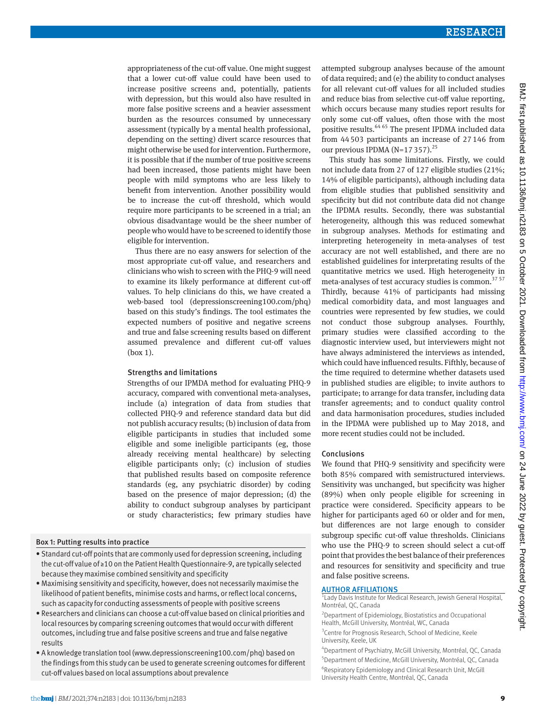appropriateness of the cut-off value. One might suggest that a lower cut-off value could have been used to increase positive screens and, potentially, patients with depression, but this would also have resulted in more false positive screens and a heavier assessment burden as the resources consumed by unnecessary assessment (typically by a mental health professional, depending on the setting) divert scarce resources that might otherwise be used for intervention. Furthermore, it is possible that if the number of true positive screens had been increased, those patients might have been people with mild symptoms who are less likely to benefit from intervention. Another possibility would be to increase the cut-off threshold, which would require more participants to be screened in a trial; an obvious disadvantage would be the sheer number of people who would have to be screened to identify those eligible for intervention.

Thus there are no easy answers for selection of the most appropriate cut-off value, and researchers and clinicians who wish to screen with the PHQ-9 will need to examine its likely performance at different cut-off values. To help clinicians do this, we have created a web-based tool [\(depressionscreening100.com/phq\)](http://depressionscreening100.com/phq) based on this study's findings. The tool estimates the expected numbers of positive and negative screens and true and false screening results based on different assumed prevalence and different cut-off values (box 1).

#### Strengths and limitations

Strengths of our IPMDA method for evaluating PHQ-9 accuracy, compared with conventional meta-analyses, include (a) integration of data from studies that collected PHQ-9 and reference standard data but did not publish accuracy results; (b) inclusion of data from eligible participants in studies that included some eligible and some ineligible participants (eg, those already receiving mental healthcare) by selecting eligible participants only; (c) inclusion of studies that published results based on composite reference standards (eg, any psychiatric disorder) by coding based on the presence of major depression; (d) the ability to conduct subgroup analyses by participant or study characteristics; few primary studies have

#### Box 1: Putting results into practice

- Standard cut-off points that are commonly used for depression screening, including the cut-off value of ≥10 on the Patient Health Questionnaire-9, are typically selected because they maximise combined sensitivity and specificity
- Maximising sensitivity and specificity, however, does not necessarily maximise the likelihood of patient benefits, minimise costs and harms, or reflect local concerns, such as capacity for conducting assessments of people with positive screens
- Researchers and clinicians can choose a cut-off value based on clinical priorities and local resources by comparing screening outcomes that would occur with different outcomes, including true and false positive screens and true and false negative results
- A knowledge translation tool [\(www.depressionscreening100.com/phq](http://www.depressionscreening100.com/phq)) based on the findings from this study can be used to generate screening outcomes for different cut-off values based on local assumptions about prevalence

attempted subgroup analyses because of the amount of data required; and (e) the ability to conduct analyses for all relevant cut-off values for all included studies and reduce bias from selective cut-off value reporting, which occurs because many studies report results for only some cut-off values, often those with the most positive results.64 65 The present IPDMA included data from 44503 participants an increase of 27146 from our previous IPDMA  $(N=17357)$ <sup>25</sup>

This study has some limitations. Firstly, we could not include data from 27 of 127 eligible studies (21%; 14% of eligible participants), although including data from eligible studies that published sensitivity and specificity but did not contribute data did not change the IPDMA results. Secondly, there was substantial heterogeneity, although this was reduced somewhat in subgroup analyses. Methods for estimating and interpreting heterogeneity in meta-analyses of test accuracy are not well established, and there are no established guidelines for interpretating results of the quantitative metrics we used. High heterogeneity in meta-analyses of test accuracy studies is common.<sup>37 57</sup> Thirdly, because 41% of participants had missing medical comorbidity data, and most languages and countries were represented by few studies, we could not conduct those subgroup analyses. Fourthly, primary studies were classified according to the diagnostic interview used, but interviewers might not have always administered the interviews as intended, which could have influenced results. Fifthly, because of the time required to determine whether datasets used in published studies are eligible; to invite authors to participate; to arrange for data transfer, including data transfer agreements; and to conduct quality control and data harmonisation procedures, studies included in the IPDMA were published up to May 2018, and more recent studies could not be included.

#### Conclusions

We found that PHQ-9 sensitivity and specificity were both 85% compared with semistructured interviews. Sensitivity was unchanged, but specificity was higher (89%) when only people eligible for screening in practice were considered. Specificity appears to be higher for participants aged 60 or older and for men, but differences are not large enough to consider subgroup specific cut-off value thresholds. Clinicians who use the PHQ-9 to screen should select a cut-off point that provides the best balance of their preferences and resources for sensitivity and specificity and true and false positive screens.

#### AUTHOR AFFILIATIONS

<sup>1</sup> Lady Davis Institute for Medical Research, Jewish General Hospital, Montréal, QC, Canada

2 Department of Epidemiology, Biostatistics and Occupational Health, McGill University, Montréal, WC, Canada

<sup>3</sup> Centre for Prognosis Research, School of Medicine, Keele University, Keele, UK

 Department of Psychiatry, McGill University, Montréal, QC, Canada Department of Medicine, McGill University, Montréal, QC, Canada Respiratory Epidemiology and Clinical Research Unit, McGill University Health Centre, Montréal, QC, Canada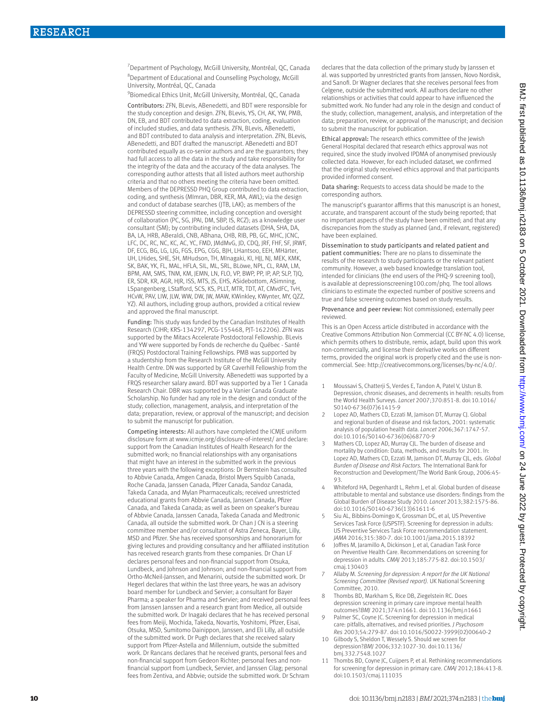<sup>7</sup> Department of Psychology, McGill University, Montréal, QC, Canada 8 Department of Educational and Counselling Psychology, McGill University, Montréal, QC, Canada

9 Biomedical Ethics Unit, McGill University, Montréal, QC, Canada

Contributors: ZFN, BLevis, ABenedetti, and BDT were responsible for the study conception and design. ZFN, BLevis, YS, CH, AK, YW, PMB, DN, EB, and BDT contributed to data extraction, coding, evaluation of included studies, and data synthesis. ZFN, BLevis, ABenedetti, and BDT contributed to data analysis and interpretation. ZFN, BLevis, ABenedetti, and BDT drafted the manuscript. ABenedetti and BDT contributed equally as co-senior authors and are the guarantors; they had full access to all the data in the study and take responsibility for the integrity of the data and the accuracy of the data analyses. The corresponding author attests that all listed authors meet authorship criteria and that no others meeting the criteria have been omitted. Members of the DEPRESSD PHQ Group contributed to data extraction, coding, and synthesis (MImran, DBR, KER, MA, AWL); via the design and conduct of database searches (JTB, LAK); as members of the DEPRESSD steering committee, including conception and oversight of collaboration (PC, SG, JPAI, DM, SBP, IS, RCZ); as a knowledge user consultant (SM); by contributing included datasets (DHA, SHA, DA, BA, LA, HRB, ABeraldi, CNB, ABhana, CHB, RIB, PB, GC, MHC, JCNC, LFC, DC, RC, NC, KC, AC, YC, FMD, JMdMvG, JD, CDQ, JRF, FHF, SF, JRWF, DF, ECG, BG, LG, LJG, FGS, EPG, CGG, BJH, LHantsoo, EEH, MHärter, UH, LHides, SHE, SH, MHudson, TH, MInagaki, KI, HJJ, NJ, MEK, KMK, SK, BAK, YK, FL, MAL, HFLA, SIL, ML, SRL, BLöwe, NPL, CL, RAM, LM, BPM, AM, SMS, TNM, KM, JEMN, LN, FLO, VP, BWP, PP, IP, AP, SLP, TJQ, ER, SDR, KR, AGR, HIR, ISS, MTS, IS, EHS, ASidebottom, ASimning, LSpangenberg, LStafford, SCS, KS, PLLT, MTR, TDT, AT, CMvdFC, TvH, HCvW, PAV, LIW, JLW, WW, DW, JW, MAW, KWinkley, KWynter, MY, QZZ, YZ). All authors, including group authors, provided a critical review and approved the final manuscript.

Funding: This study was funded by the Canadian Institutes of Health Research (CIHR; KRS-134297, PCG-155468, PJT-162206). ZFN was supported by the Mitacs Accelerate Postdoctoral Fellowship. BLevis and YW were supported by Fonds de recherche du Québec - Santé (FRQS) Postdoctoral Training Fellowships. PMB was supported by a studentship from the Research Institute of the McGill University Health Centre. DN was supported by GR Caverhill Fellowship from the Faculty of Medicine, McGill University. ABenedetti was supported by a FRQS researcher salary award. BDT was supported by a Tier 1 Canada Research Chair. DBR was supported by a Vanier Canada Graduate Scholarship. No funder had any role in the design and conduct of the study; collection, management, analysis, and interpretation of the data; preparation, review, or approval of the manuscript; and decision to submit the manuscript for publication.

Competing interests: All authors have completed the ICMJE uniform disclosure form at [www.icmje.org/disclosure-of-interest/](http://www.icmje.org/disclosure-of-interest/) and declare: support from the Canadian Institutes of Health Research for the submitted work; no financial relationships with any organisations that might have an interest in the submitted work in the previous three years with the following exceptions: Dr Bernstein has consulted to Abbvie Canada, Amgen Canada, Bristol Myers Squibb Canada, Roche Canada, Janssen Canada, Pfizer Canada, Sandoz Canada, Takeda Canada, and Mylan Pharmaceuticals; received unrestricted educational grants from Abbvie Canada, Janssen Canada, Pfizer Canada, and Takeda Canada; as well as been on speaker's bureau of Abbvie Canada, Janssen Canada, Takeda Canada and Medtronic Canada, all outside the submitted work. Dr Chan J CN is a steering committee member and/or consultant of Astra Zeneca, Bayer, Lilly, MSD and Pfizer. She has received sponsorships and honorarium for giving lectures and providing consultancy and her affiliated institution has received research grants from these companies. Dr Chan LF declares personal fees and non-financial support from Otsuka, Lundbeck, and Johnson and Johnson; and non-financial support from Ortho-McNeil-Janssen, and Menarini, outside the submitted work. Dr Hegerl declares that within the last three years, he was an advisory board member for Lundbeck and Servier; a consultant for Bayer Pharma; a speaker for Pharma and Servier; and received personal fees from Janssen Janssen and a research grant from Medice, all outside the submitted work. Dr Inagaki declares that he has received personal fees from Meiji, Mochida, Takeda, Novartis, Yoshitomi, Pfizer, Eisai, Otsuka, MSD, Sumitomo Dainippon, Janssen, and Eli Lilly, all outside of the submitted work. Dr Pugh declares that she received salary support from Pfizer-Astella and Millennium, outside the submitted work. Dr Rancans declares that he received grants, personal fees and non-financial support from Gedeon Richter; personal fees and nonfinancial support from Lundbeck, Servier, and Janssen Cilag; personal fees from Zentiva, and Abbvie; outside the submitted work. Dr Schram

declares that the data collection of the primary study by Janssen et al. was supported by unrestricted grants from Janssen, Novo Nordisk, and Sanofi. Dr Wagner declares that she receives personal fees from Celgene, outside the submitted work. All authors declare no other relationships or activities that could appear to have influenced the submitted work. No funder had any role in the design and conduct of the study; collection, management, analysis, and interpretation of the data; preparation, review, or approval of the manuscript; and decision to submit the manuscript for publication.

Ethical approval: The research ethics committee of the Jewish General Hospital declared that research ethics approval was not required, since the study involved IPDMA of anonymised previously collected data. However, for each included dataset, we confirmed that the original study received ethics approval and that participants provided informed consent.

Data sharing: Requests to access data should be made to the corresponding authors.

The manuscript's guarantor affirms that this manuscript is an honest, accurate, and transparent account of the study being reported; that no important aspects of the study have been omitted; and that any discrepancies from the study as planned (and, if relevant, registered) have been explained.

Dissemination to study participants and related patient and patient communities: There are no plans to disseminate the results of the research to study participants or the relevant patient community. However, a web based knowledge translation tool, intended for clinicians (the end users of the PHQ-9 screening tool), is available at [depressionscreening100.com/phq.](http://depressionscreening100.com/phq) The tool allows clinicians to estimate the expected number of positive screens and true and false screening outcomes based on study results.

Provenance and peer review: Not commissioned; externally peer reviewed.

This is an Open Access article distributed in accordance with the Creative Commons Attribution Non Commercial (CC BY-NC 4.0) license, which permits others to distribute, remix, adapt, build upon this work non-commercially, and license their derivative works on different terms, provided the original work is properly cited and the use is noncommercial. See:<http://creativecommons.org/licenses/by-nc/4.0/>.

- 1 Moussavi S, Chatterji S, Verdes E, Tandon A, Patel V, Ustun B. Depression, chronic diseases, and decrements in health: results from the World Health Surveys. *Lancet* 2007;370:851-8. doi:10.1016/ S0140-6736(07)61415-9
- 2 Lopez AD, Mathers CD, Ezzati M, Jamison DT, Murray CJ. Global and regional burden of disease and risk factors, 2001: systematic analysis of population health data. *Lancet* 2006;367:1747-57. doi:10.1016/S0140-6736(06)68770-9
- 3 Mathers CD, Lopez AD, Murray CJL. The burden of disease and mortality by condition: Data, methods, and results for 2001. In: Lopez AD, Mathers CD, Ezzati M, Jamison DT, Murray CJL, eds. *Global Burden of Disease and Risk Factors.* The International Bank for Reconstruction and Development/The World Bank Group, 2006:45-  $QZ$
- 4 Whiteford HA, Degenhardt L, Rehm J, et al. Global burden of disease attributable to mental and substance use disorders: findings from the Global Burden of Disease Study 2010. *Lancet* 2013;382:1575-86. doi:10.1016/S0140-6736(13)61611-6
- 5 Siu AL, Bibbins-Domingo K, Grossman DC, et al, US Preventive Services Task Force (USPSTF). Screening for depression in adults: US Preventive Services Task Force recommendation statement. *JAMA* 2016;315:380-7. doi:10.1001/jama.2015.18392
- 6 Joffres M, Jaramillo A, Dickinson J, et al, Canadian Task Force on Preventive Health Care. Recommendations on screening for depression in adults. *CMAJ* 2013;185:775-82. doi:10.1503/ cmaj.130403
- 7 Allaby M. *Screening for depression: A report for the UK National Screening Committee (Revised report).* UK National Screening Committee, 2010.
- 8 Thombs BD, Markham S, Rice DB, Ziegelstein RC. Does depression screening in primary care improve mental health outcomes?*BMJ* 2021;374:n1661. doi:10.1136/bmj.n1661
- 9 Palmer SC, Coyne JC. Screening for depression in medical care: pitfalls, alternatives, and revised priorities. *J Psychosom Res* 2003;54:279-87. doi:10.1016/S0022-3999(02)00640-2
- 10 Gilbody S, Sheldon T, Wessely S. Should we screen for depression?*BMJ* 2006;332:1027-30. doi:10.1136/ bmj.332.7548.1027
- 11 Thombs BD, Coyne JC, Cuijpers P, et al. Rethinking recommendations for screening for depression in primary care. *CMAJ* 2012;184:413-8. doi:10.1503/cmaj.111035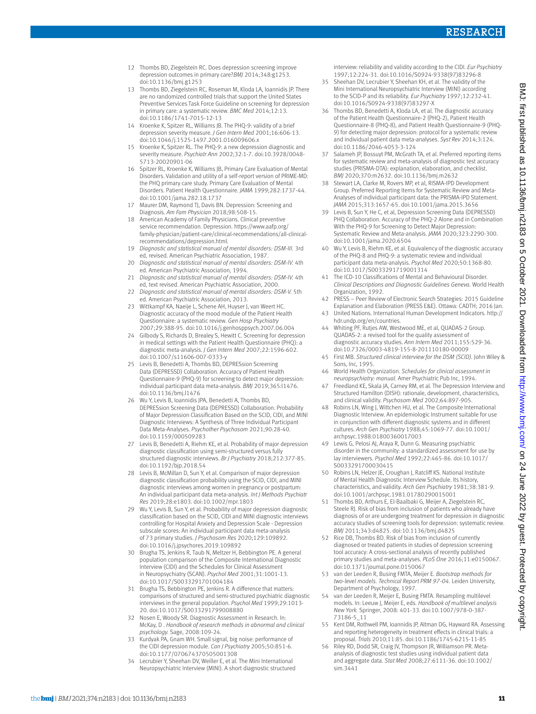- 12 Thombs BD, Ziegelstein RC. Does depression screening improve depression outcomes in primary care?*BMJ* 2014;348:g1253. doi:10.1136/bmj.g1253
- 13 Thombs BD, Ziegelstein RC, Roseman M, Kloda LA, Ioannidis JP. There are no randomized controlled trials that support the United States Preventive Services Task Force Guideline on screening for depression in primary care: a systematic review. *BMC Med* 2014;12:13. doi:10.1186/1741-7015-12-13
- 14 Kroenke K, Spitzer RL, Williams JB. The PHQ-9: validity of a brief depression severity measure. *J Gen Intern Med* 2001;16:606-13. doi:10.1046/j.1525-1497.2001.016009606.x
- 15 Kroenke K, Spitzer RL. The PHQ-9: a new depression diagnostic and severity measure. *Psychiatr Ann* 2002;32:1-7. doi:10.3928/0048- 5713-20020901-06
- Spitzer RL, Kroenke K, Williams JB, Primary Care Evaluation of Mental Disorders. Validation and utility of a self-report version of PRIME-MD: the PHQ primary care study. Primary Care Evaluation of Mental Disorders. Patient Health Questionnaire. *JAMA* 1999;282:1737-44. doi:10.1001/jama.282.18.1737
- 17 Maurer DM, Raymond TJ, Davis BN. Depression: Screening and Diagnosis. *Am Fam Physician* 2018;98:508-15.
- 18 American Academy of Family Physicians. Clinical preventive service recommendation. Depression. [https://www.aafp.org/](https://www.aafp.org/family-physician/patient-care/clinical-recommendations/all-clinical-recommendations/depression.html) [family-physician/patient-care/clinical-recommendations/all-clinical](https://www.aafp.org/family-physician/patient-care/clinical-recommendations/all-clinical-recommendations/depression.html)[recommendations/depression.html](https://www.aafp.org/family-physician/patient-care/clinical-recommendations/all-clinical-recommendations/depression.html).
- 19 *Diagnostic and statistical manual of mental disorders: DSM-III.* 3rd ed, revised. American Psychiatric Association, 1987.
- 20 *Diagnostic and statistical manual of mental disorders: DSM-IV.* 4th ed. American Psychiatric Association, 1994.
- 21 *Diagnostic and statistical manual of mental disorders: DSM-IV.* 4th ed, text revised. American Psychiatric Association, 2000.
- 22 *Diagnostic and statistical manual of mental disorders: DSM-V.* 5th ed. American Psychiatric Association, 2013.
- 23 Wittkampf KA, Naeije L, Schene AH, Huyser J, van Weert HC. Diagnostic accuracy of the mood module of the Patient Health Questionnaire: a systematic review. *Gen Hosp Psychiatry*  2007;29:388-95. doi:10.1016/j.genhosppsych.2007.06.004
- 24 Gilbody S, Richards D, Brealey S, Hewitt C. Screening for depression in medical settings with the Patient Health Questionnaire (PHQ): a diagnostic meta-analysis. *J Gen Intern Med* 2007;22:1596-602. doi:10.1007/s11606-007-0333-y
- 25 Levis B, Benedetti A, Thombs BD, DEPRESsion Screening Data (DEPRESSD) Collaboration. Accuracy of Patient Health Questionnaire-9 (PHQ-9) for screening to detect major depression: individual participant data meta-analysis. *BMJ* 2019;365:l1476. doi:10.1136/bmj.l1476
- 26 Wu Y, Levis B, Ioannidis JPA, Benedetti A, Thombs BD, DEPRESsion Screening Data (DEPRESSD) Collaboration. Probability of Major Depression Classification Based on the SCID, CIDI, and MINI Diagnostic Interviews: A Synthesis of Three Individual Participant Data Meta-Analyses. *Psychother Psychosom* 2021;90:28-40. doi:10.1159/000509283
- 27 Levis B, Benedetti A, Riehm KE, et al. Probability of major depression diagnostic classification using semi-structured versus fully structured diagnostic interviews. *Br J Psychiatry* 2018;212:377-85. doi:10.1192/bjp.2018.54
- 28 Levis B, McMillan D, Sun Y, et al. Comparison of major depression diagnostic classification probability using the SCID, CIDI, and MINI diagnostic interviews among women in pregnancy or postpartum: An individual participant data meta-analysis. *Int J Methods Psychiatr Res* 2019;28:e1803. doi:10.1002/mpr.1803
- 29 Wu Y, Levis B, Sun Y, et al. Probability of major depression diagnostic classification based on the SCID, CIDI and MINI diagnostic interviews controlling for Hospital Anxiety and Depression Scale - Depression subscale scores: An individual participant data meta-analysis of 73 primary studies. *J Psychosom Res* 2020;129:109892. doi:10.1016/j.jpsychores.2019.109892
- 30 Brugha TS, Jenkins R, Taub N, Meltzer H, Bebbington PE. A general population comparison of the Composite International Diagnostic Interview (CIDI) and the Schedules for Clinical Assessment in Neuropsychiatry (SCAN). *Psychol Med* 2001;31:1001-13. doi:10.1017/S0033291701004184
- 31 Brugha TS, Bebbington PE, Jenkins R. A difference that matters: comparisons of structured and semi-structured psychiatric diagnostic interviews in the general population. *Psychol Med* 1999;29:1013- 20. doi:10.1017/S0033291799008880
- 32 Nosen E, Woody SR. Diagnostic Assessment in Research. In: McKay, D . *Handbook of research methods in abnormal and clinical psychology.* Sage, 2008:109-24.
- Kurdyak PA, Gnam WH. Small signal, big noise: performance of the CIDI depression module. *Can J Psychiatry* 2005;50:851-6. doi:10.1177/070674370505001308
- Lecrubier Y, Sheehan DV, Weiller E, et al. The Mini International Neuropsychiatric Interview (MINI). A short diagnostic structured

interview: reliability and validity according to the CIDI. *Eur Psychiatry*  1997;12:224-31. doi:10.1016/S0924-9338(97)83296-8

- 35 Sheehan DV, Lecrubier Y, Sheehan KH, et al. The validity of the Mini International Neuropsychiatric Interview (MINI) according to the SCID-P and its reliability. *Eur Psychiatry* 1997;12:232-41. doi:10.1016/S0924-9338(97)83297-X
- 36 Thombs BD, Benedetti A, Kloda LA, et al. The diagnostic accuracy of the Patient Health Questionnaire-2 (PHQ-2), Patient Health Questionnaire-8 (PHQ-8), and Patient Health Questionnaire-9 (PHQ-9) for detecting major depression: protocol for a systematic review and individual patient data meta-analyses. *Syst Rev* 2014;3:124. doi:10.1186/2046-4053-3-124
- 37 Salameh JP, Bossuyt PM, McGrath TA, et al. Preferred reporting items for systematic review and meta-analysis of diagnostic test accuracy studies (PRISMA-DTA): explanation, elaboration, and checklist. *BMJ* 2020;370:m2632. doi:10.1136/bmj.m2632
- Stewart LA, Clarke M, Rovers MP, et al, RISMA-IPD Development Group. Preferred Reporting Items for Systematic Review and Meta-Analyses of individual participant data: the PRISMA-IPD Statement. *JAMA* 2015;313:1657-65. doi:10.1001/jama.2015.3656
- 39 Levis B, Sun Y, He C, et al, Depression Screening Data (DEPRESSD) PHQ Collaboration. Accuracy of the PHQ-2 Alone and in Combination With the PHQ-9 for Screening to Detect Major Depression: Systematic Review and Meta-analysis. *JAMA* 2020;323:2290-300. doi:10.1001/jama.2020.6504
- 40 Wu Y, Levis B, Riehm KE, et al. Equivalency of the diagnostic accuracy of the PHQ-8 and PHQ-9: a systematic review and individual participant data meta-analysis. *Psychol Med* 2020;50:1368-80. doi:10.1017/S0033291719001314
- 41 The ICD-10 Classifications of Mental and Behavioural Disorder. *Clinical Descriptions and Diagnostic Guidelines Geneva.* World Health Organization, 1992.
- 42 PRESS Peer Review of Electronic Search Strategies: 2015 Guideline Explanation and Elaboration (PRESS E&E). Ottawa: CADTH; 2016 Jan.
- 43 United Nations. International Human Development Indicators. [http://](http://hdr.undp.org/en/countries) [hdr.undp.org/en/countries](http://hdr.undp.org/en/countries).
- 44 Whiting PF, Rutjes AW, Westwood ME, et al, QUADAS-2 Group. QUADAS-2: a revised tool for the quality assessment of diagnostic accuracy studies. *Ann Intern Med* 2011;155:529-36. doi:10.7326/0003-4819-155-8-201110180-00009
- 45 First MB. *Structured clinical interview for the DSM (SCID).* John Wiley & Sons, Inc, 1995.
- 46 World Health Organization. *Schedules for clinical assessment in neuropsychiatry: manual.* Amer Psychiatric Pub Inc, 1994.
- 47 Freedland KE, Skala JA, Carney RM, et al. The Depression Interview and Structured Hamilton (DISH): rationale, development, characteristics, and clinical validity. *Psychosom Med* 2002;64:897-905.
- 48 Robins LN, Wing J, Wittchen HU, et al. The Composite International Diagnostic Interview. An epidemiologic Instrument suitable for use in conjunction with different diagnostic systems and in different cultures. *Arch Gen Psychiatry* 1988;45:1069-77. doi:10.1001/ archpsyc.1988.01800360017003
- 49 Lewis G, Pelosi AJ, Araya R, Dunn G. Measuring psychiatric disorder in the community: a standardized assessment for use by lay interviewers. *Psychol Med* 1992;22:465-86. doi:10.1017/ S0033291700030415
- 50 Robins LN, Helzer JE, Croughan J, Ratcliff KS. National Institute of Mental Health Diagnostic Interview Schedule. Its history, characteristics, and validity. *Arch Gen Psychiatry* 1981;38:381-9. doi:10.1001/archpsyc.1981.01780290015001
- Thombs BD, Arthurs E, El-Baalbaki G, Meijer A, Ziegelstein RC, Steele RJ. Risk of bias from inclusion of patients who already have diagnosis of or are undergoing treatment for depression in diagnostic accuracy studies of screening tools for depression: systematic review. *BMJ* 2011;343:d4825. doi:10.1136/bmj.d4825
- 52 Rice DB, Thombs BD. Risk of bias from inclusion of currently diagnosed or treated patients in studies of depression screening tool accuracy: A cross-sectional analysis of recently published primary studies and meta-analyses. *PLoS One* 2016;11:e0150067. doi:10.1371/journal.pone.0150067
- 53 van der Leeden R, Busing FMTA, Meijer E. *Bootstrap methods for two-level models. Technical Report PRM 97-04.* Leiden University, Department of Psychology, 1997.
- 54 van der Leeden R, Meijer E, Busing FMTA. Resampling multilevel models. In: Leeuw J, Meijer E, eds. *Handbook of multilevel analysis New York.* Springer, 2008: 401-33. doi:10.1007/978-0-387- 73186-5\_11
- 55 Kent DM, Rothwell PM, Ioannidis JP, Altman DG, Hayward RA. Assessing and reporting heterogeneity in treatment effects in clinical trials: a proposal. *Trials* 2010;11:85. doi:10.1186/1745-6215-11-85
- 56 Riley RD, Dodd SR, Craig JV, Thompson JR, Williamson PR. Metaanalysis of diagnostic test studies using individual patient data and aggregate data. *Stat Med* 2008;27:6111-36. doi:10.1002/ sim.3441